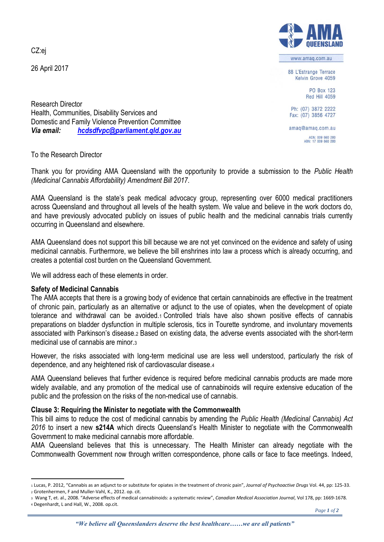CZ:ej

26 April 2017



www.amaq.com.au

88 L'Estrange Terrace Kelvin Grove 4059

> PO Box 123 **Red Hill 4059**

Ph: (07) 3872 2222 Fax: (07) 3856 4727

amag@amag.com.au

ACN: 009 660 280<br>ABN: 17 009 660 280

Research Director Health, Communities, Disability Services and Domestic and Family Violence Prevention Committee *Via email: [hcdsdfvpc@parliament.qld.gov.au](mailto:hcdsdfvpc@parliament.qld.gov.au)*

To the Research Director

Thank you for providing AMA Queensland with the opportunity to provide a submission to the *Public Health (Medicinal Cannabis Affordability) Amendment Bill 2017*.

AMA Queensland is the state's peak medical advocacy group, representing over 6000 medical practitioners across Queensland and throughout all levels of the health system. We value and believe in the work doctors do, and have previously advocated publicly on issues of public health and the medicinal cannabis trials currently occurring in Queensland and elsewhere.

AMA Queensland does not support this bill because we are not yet convinced on the evidence and safety of using medicinal cannabis. Furthermore, we believe the bill enshrines into law a process which is already occurring, and creates a potential cost burden on the Queensland Government.

We will address each of these elements in order

## **Safety of Medicinal Cannabis**

The AMA accepts that there is a growing body of evidence that certain cannabinoids are effective in the treatment of chronic pain, particularly as an alternative or adjunct to the use of opiates, when the development of opiate tolerance and withdrawal can be avoided.<sup>1</sup> Controlled trials have also shown positive effects of cannabis preparations on bladder dysfunction in multiple sclerosis, tics in Tourette syndrome, and involuntary movements associated with Parkinson's disease.<sup>2</sup> Based on existing data, the adverse events associated with the short-term medicinal use of cannabis are minor.<sup>3</sup>

However, the risks associated with long-term medicinal use are less well understood, particularly the risk of dependence, and any heightened risk of cardiovascular disease.<sup>4</sup>

AMA Queensland believes that further evidence is required before medicinal cannabis products are made more widely available, and any promotion of the medical use of cannabinoids will require extensive education of the public and the profession on the risks of the non-medical use of cannabis.

## **Clause 3: Requiring the Minister to negotiate with the Commonwealth**

This bill aims to reduce the cost of medicinal cannabis by amending the *Public Health (Medicinal Cannabis) Act 2016* to insert a new **s214A** which directs Queensland's Health Minister to negotiate with the Commonwealth Government to make medicinal cannabis more affordable.

AMA Queensland believes that this is unnecessary. The Health Minister can already negotiate with the Commonwealth Government now through written correspondence, phone calls or face to face meetings. Indeed,

<sup>4</sup> Degenhardt, L and Hall, W., 2008. op.cit.

 $\overline{a}$ 

<sup>1</sup> Lucas, P. 2012, "Cannabis as an adjunct to or substitute for opiates in the treatment of chronic pain", *Journal of Psychoactive Drugs* Vol. 44, pp: 125-33.

<sup>2</sup> Grotenhermen, F and Muller-Vahl, K., 2012. op. cit.

<sup>3</sup> Wang T, et. al., 2008. "Adverse effects of medical cannabinoids: a systematic review", *Canadian Medical Association Journal*, Vol 178, pp: 1669-1678.